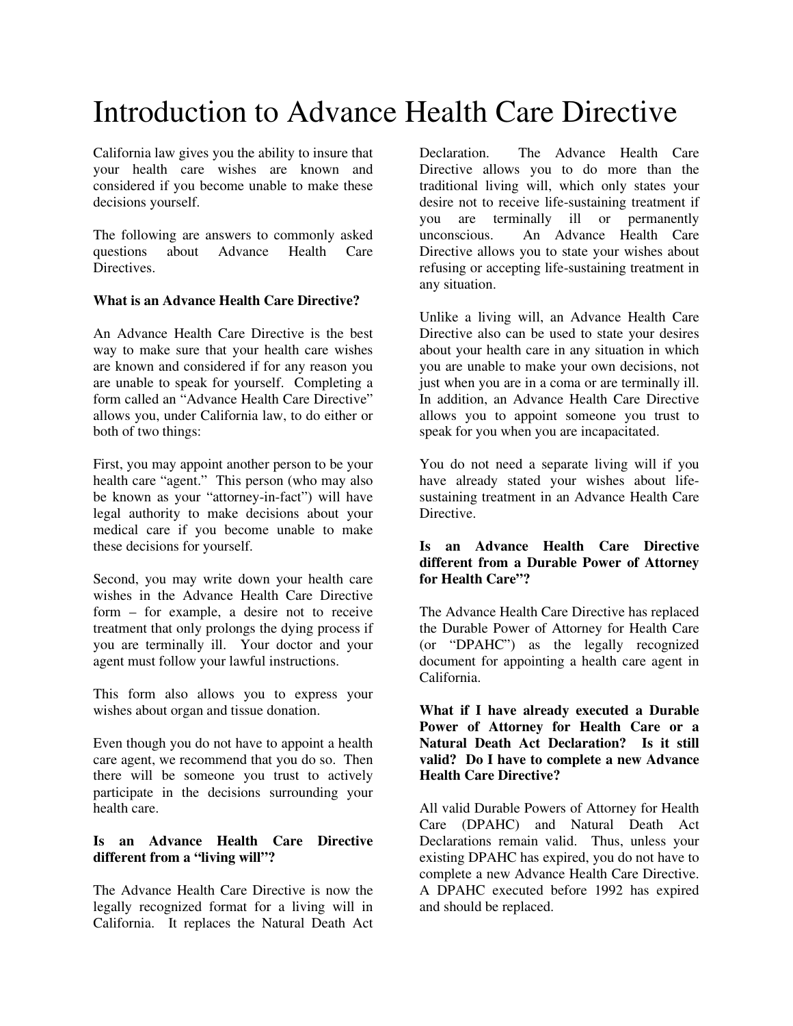# Introduction to Advance Health Care Directive

California law gives you the ability to insure that your health care wishes are known and considered if you become unable to make these decisions yourself.

The following are answers to commonly asked questions about Advance Health Care **Directives** 

## **What is an Advance Health Care Directive?**

An Advance Health Care Directive is the best way to make sure that your health care wishes are known and considered if for any reason you are unable to speak for yourself. Completing a form called an "Advance Health Care Directive" allows you, under California law, to do either or both of two things:

First, you may appoint another person to be your health care "agent." This person (who may also be known as your "attorney-in-fact") will have legal authority to make decisions about your medical care if you become unable to make these decisions for yourself.

Second, you may write down your health care wishes in the Advance Health Care Directive form – for example, a desire not to receive treatment that only prolongs the dying process if you are terminally ill. Your doctor and your agent must follow your lawful instructions.

This form also allows you to express your wishes about organ and tissue donation.

Even though you do not have to appoint a health care agent, we recommend that you do so. Then there will be someone you trust to actively participate in the decisions surrounding your health care.

# **Is an Advance Health Care Directive different from a "living will"?**

The Advance Health Care Directive is now the legally recognized format for a living will in California. It replaces the Natural Death Act

Declaration. The Advance Health Care Directive allows you to do more than the traditional living will, which only states your desire not to receive life-sustaining treatment if you are terminally ill or permanently unconscious. An Advance Health Care Directive allows you to state your wishes about refusing or accepting life-sustaining treatment in any situation.

Unlike a living will, an Advance Health Care Directive also can be used to state your desires about your health care in any situation in which you are unable to make your own decisions, not just when you are in a coma or are terminally ill. In addition, an Advance Health Care Directive allows you to appoint someone you trust to speak for you when you are incapacitated.

You do not need a separate living will if you have already stated your wishes about lifesustaining treatment in an Advance Health Care Directive.

# **Is an Advance Health Care Directive different from a Durable Power of Attorney for Health Care"?**

The Advance Health Care Directive has replaced the Durable Power of Attorney for Health Care (or "DPAHC") as the legally recognized document for appointing a health care agent in California.

### **What if I have already executed a Durable Power of Attorney for Health Care or a Natural Death Act Declaration? Is it still valid? Do I have to complete a new Advance Health Care Directive?**

All valid Durable Powers of Attorney for Health Care (DPAHC) and Natural Death Act Declarations remain valid. Thus, unless your existing DPAHC has expired, you do not have to complete a new Advance Health Care Directive. A DPAHC executed before 1992 has expired and should be replaced.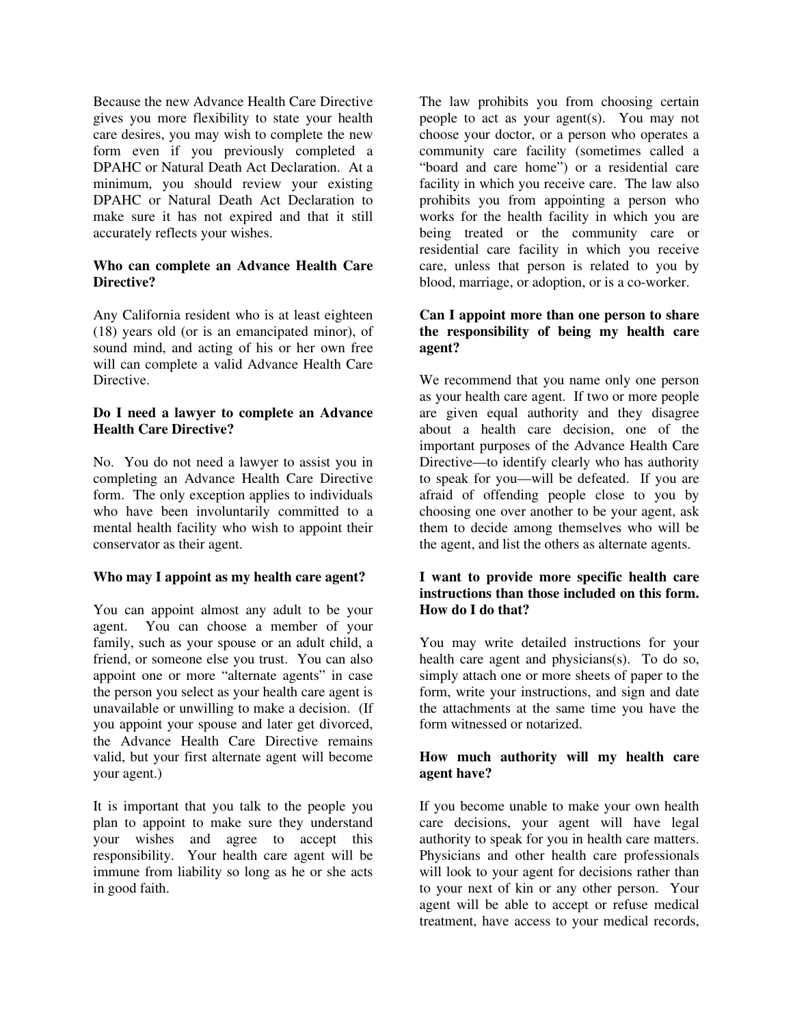Because the new Advance Health Care Directive gives you more flexibility to state your health care desires, you may wish to complete the new form even if you previously completed a DPAHC or Natural Death Act Declaration. At a minimum, you should review your existing DPAHC or Natural Death Act Declaration to make sure it has not expired and that it still accurately reflects your wishes.

### **Who can complete an Advance Health Care Directive?**

Any California resident who is at least eighteen (18) years old (or is an emancipated minor), of sound mind, and acting of his or her own free will can complete a valid Advance Health Care Directive.

## **Do I need a lawyer to complete an Advance Health Care Directive?**

No. You do not need a lawyer to assist you in completing an Advance Health Care Directive form. The only exception applies to individuals who have been involuntarily committed to a mental health facility who wish to appoint their conservator as their agent.

## **Who may I appoint as my health care agent?**

You can appoint almost any adult to be your agent. You can choose a member of your family, such as your spouse or an adult child, a friend, or someone else you trust. You can also appoint one or more "alternate agents" in case the person you select as your health care agent is unavailable or unwilling to make a decision. (If you appoint your spouse and later get divorced, the Advance Health Care Directive remains valid, but your first alternate agent will become your agent.)

It is important that you talk to the people you plan to appoint to make sure they understand your wishes and agree to accept this responsibility. Your health care agent will be immune from liability so long as he or she acts in good faith.

The law prohibits you from choosing certain people to act as your agent(s). You may not choose your doctor, or a person who operates a community care facility (sometimes called a "board and care home") or a residential care facility in which you receive care. The law also prohibits you from appointing a person who works for the health facility in which you are being treated or the community care or residential care facility in which you receive care, unless that person is related to you by blood, marriage, or adoption, or is a co-worker.

### **Can I appoint more than one person to share the responsibility of being my health care agent?**

We recommend that you name only one person as your health care agent. If two or more people are given equal authority and they disagree about a health care decision, one of the important purposes of the Advance Health Care Directive—to identify clearly who has authority to speak for you—will be defeated. If you are afraid of offending people close to you by choosing one over another to be your agent, ask them to decide among themselves who will be the agent, and list the others as alternate agents.

## **I want to provide more specific health care instructions than those included on this form. How do I do that?**

You may write detailed instructions for your health care agent and physicians(s). To do so, simply attach one or more sheets of paper to the form, write your instructions, and sign and date the attachments at the same time you have the form witnessed or notarized.

### **How much authority will my health care agent have?**

If you become unable to make your own health care decisions, your agent will have legal authority to speak for you in health care matters. Physicians and other health care professionals will look to your agent for decisions rather than to your next of kin or any other person. Your agent will be able to accept or refuse medical treatment, have access to your medical records,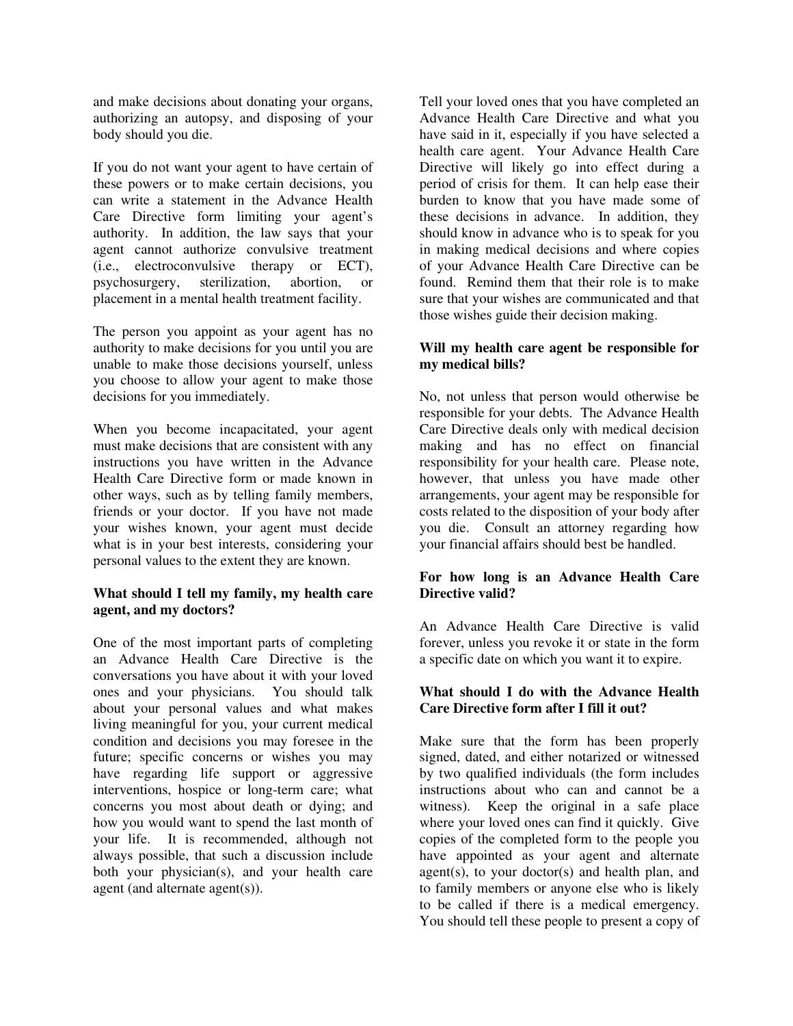and make decisions about donating your organs, authorizing an autopsy, and disposing of your body should you die.

If you do not want your agent to have certain of these powers or to make certain decisions, you can write a statement in the Advance Health Care Directive form limiting your agent's authority. In addition, the law says that your agent cannot authorize convulsive treatment (i.e., electroconvulsive therapy or ECT), psychosurgery, sterilization, abortion, or placement in a mental health treatment facility.

The person you appoint as your agent has no authority to make decisions for you until you are unable to make those decisions yourself, unless you choose to allow your agent to make those decisions for you immediately.

When you become incapacitated, your agent must make decisions that are consistent with any instructions you have written in the Advance Health Care Directive form or made known in other ways, such as by telling family members, friends or your doctor. If you have not made your wishes known, your agent must decide what is in your best interests, considering your personal values to the extent they are known.

# **What should I tell my family, my health care agent, and my doctors?**

One of the most important parts of completing an Advance Health Care Directive is the conversations you have about it with your loved ones and your physicians. You should talk about your personal values and what makes living meaningful for you, your current medical condition and decisions you may foresee in the future; specific concerns or wishes you may have regarding life support or aggressive interventions, hospice or long-term care; what concerns you most about death or dying; and how you would want to spend the last month of your life. It is recommended, although not always possible, that such a discussion include both your physician(s), and your health care agent (and alternate agent(s)).

Tell your loved ones that you have completed an Advance Health Care Directive and what you have said in it, especially if you have selected a health care agent. Your Advance Health Care Directive will likely go into effect during a period of crisis for them. It can help ease their burden to know that you have made some of these decisions in advance. In addition, they should know in advance who is to speak for you in making medical decisions and where copies of your Advance Health Care Directive can be found. Remind them that their role is to make sure that your wishes are communicated and that those wishes guide their decision making.

## **Will my health care agent be responsible for my medical bills?**

No, not unless that person would otherwise be responsible for your debts. The Advance Health Care Directive deals only with medical decision making and has no effect on financial responsibility for your health care. Please note, however, that unless you have made other arrangements, your agent may be responsible for costs related to the disposition of your body after you die. Consult an attorney regarding how your financial affairs should best be handled.

# **For how long is an Advance Health Care Directive valid?**

An Advance Health Care Directive is valid forever, unless you revoke it or state in the form a specific date on which you want it to expire.

# **What should I do with the Advance Health Care Directive form after I fill it out?**

Make sure that the form has been properly signed, dated, and either notarized or witnessed by two qualified individuals (the form includes instructions about who can and cannot be a witness). Keep the original in a safe place where your loved ones can find it quickly. Give copies of the completed form to the people you have appointed as your agent and alternate  $agent(s)$ , to your  $doctor(s)$  and health plan, and to family members or anyone else who is likely to be called if there is a medical emergency. You should tell these people to present a copy of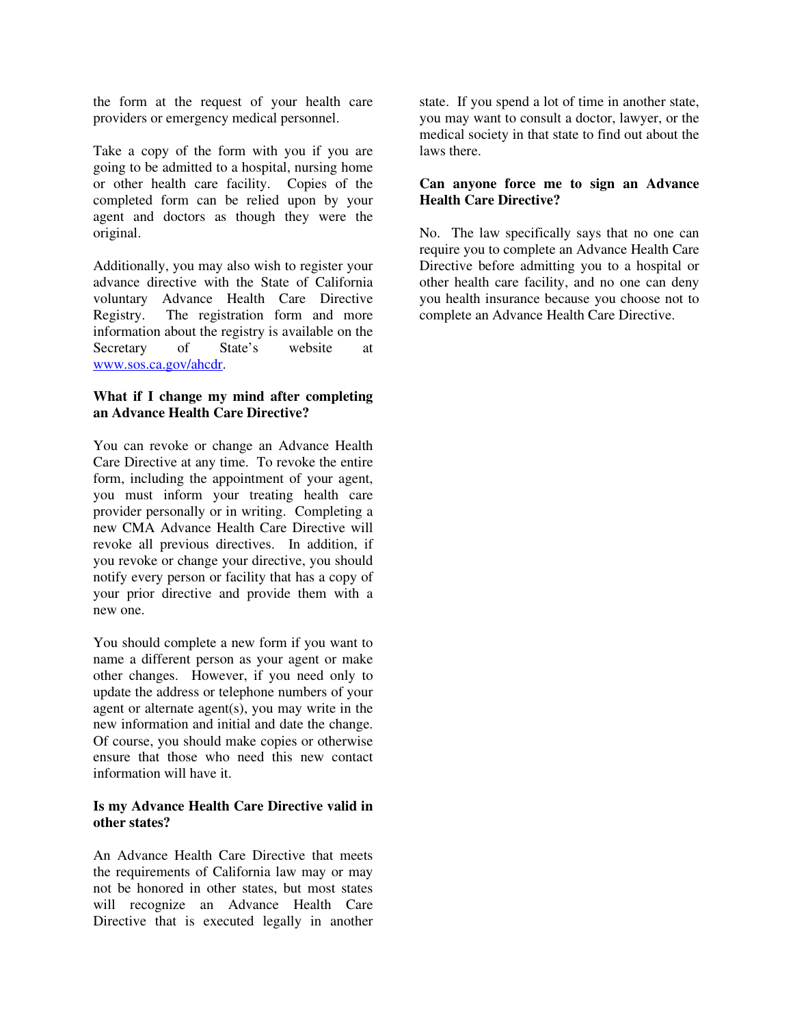the form at the request of your health care providers or emergency medical personnel.

Take a copy of the form with you if you are going to be admitted to a hospital, nursing home or other health care facility. Copies of the completed form can be relied upon by your agent and doctors as though they were the original.

Additionally, you may also wish to register your advance directive with the State of California voluntary Advance Health Care Directive Registry. The registration form and more information about the registry is available on the Secretary of State's website at www.sos.ca.gov/ahcdr.

## **What if I change my mind after completing an Advance Health Care Directive?**

You can revoke or change an Advance Health Care Directive at any time. To revoke the entire form, including the appointment of your agent, you must inform your treating health care provider personally or in writing. Completing a new CMA Advance Health Care Directive will revoke all previous directives. In addition, if you revoke or change your directive, you should notify every person or facility that has a copy of your prior directive and provide them with a new one.

You should complete a new form if you want to name a different person as your agent or make other changes. However, if you need only to update the address or telephone numbers of your agent or alternate agent(s), you may write in the new information and initial and date the change. Of course, you should make copies or otherwise ensure that those who need this new contact information will have it.

## **Is my Advance Health Care Directive valid in other states?**

An Advance Health Care Directive that meets the requirements of California law may or may not be honored in other states, but most states will recognize an Advance Health Care Directive that is executed legally in another

state. If you spend a lot of time in another state, you may want to consult a doctor, lawyer, or the medical society in that state to find out about the laws there.

## **Can anyone force me to sign an Advance Health Care Directive?**

No. The law specifically says that no one can require you to complete an Advance Health Care Directive before admitting you to a hospital or other health care facility, and no one can deny you health insurance because you choose not to complete an Advance Health Care Directive.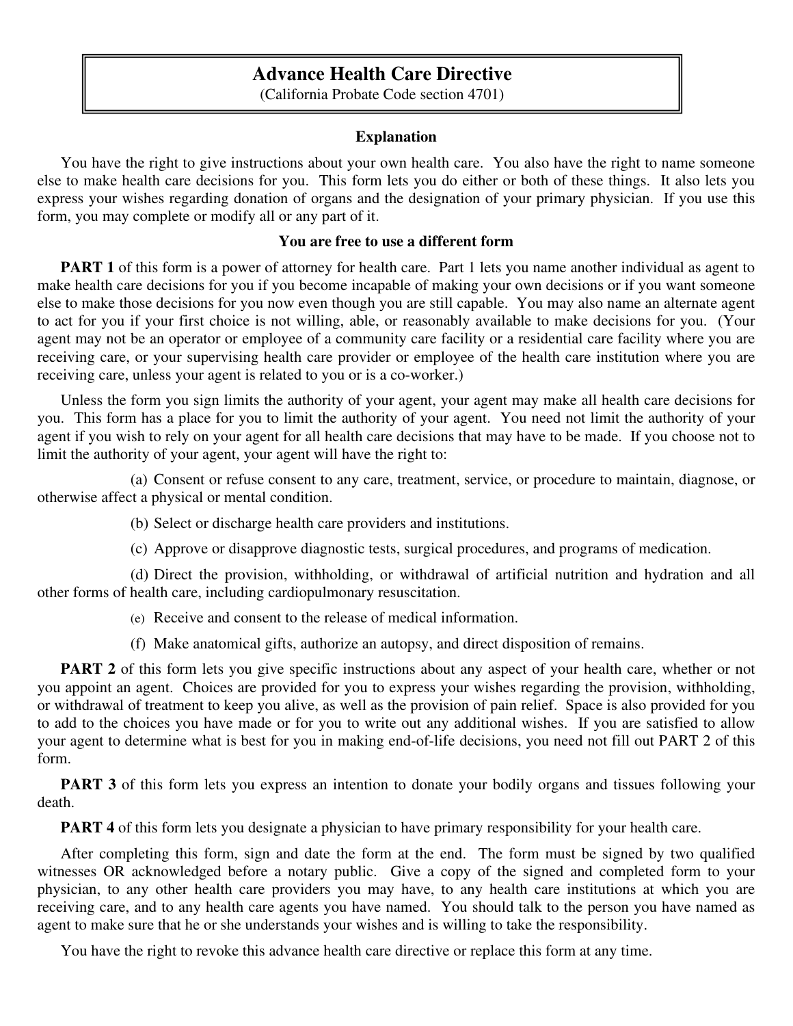# **Advance Health Care Directive**

(California Probate Code section 4701)

# **Explanation**

 You have the right to give instructions about your own health care. You also have the right to name someone else to make health care decisions for you. This form lets you do either or both of these things. It also lets you express your wishes regarding donation of organs and the designation of your primary physician. If you use this form, you may complete or modify all or any part of it.

# **You are free to use a different form**

**PART 1** of this form is a power of attorney for health care. Part 1 lets you name another individual as agent to make health care decisions for you if you become incapable of making your own decisions or if you want someone else to make those decisions for you now even though you are still capable. You may also name an alternate agent to act for you if your first choice is not willing, able, or reasonably available to make decisions for you. (Your agent may not be an operator or employee of a community care facility or a residential care facility where you are receiving care, or your supervising health care provider or employee of the health care institution where you are receiving care, unless your agent is related to you or is a co-worker.)

 Unless the form you sign limits the authority of your agent, your agent may make all health care decisions for you. This form has a place for you to limit the authority of your agent. You need not limit the authority of your agent if you wish to rely on your agent for all health care decisions that may have to be made. If you choose not to limit the authority of your agent, your agent will have the right to:

(a) Consent or refuse consent to any care, treatment, service, or procedure to maintain, diagnose, or otherwise affect a physical or mental condition.

- (b) Select or discharge health care providers and institutions.
- (c) Approve or disapprove diagnostic tests, surgical procedures, and programs of medication.

(d) Direct the provision, withholding, or withdrawal of artificial nutrition and hydration and all other forms of health care, including cardiopulmonary resuscitation.

- (e) Receive and consent to the release of medical information.
- (f) Make anatomical gifts, authorize an autopsy, and direct disposition of remains.

**PART 2** of this form lets you give specific instructions about any aspect of your health care, whether or not you appoint an agent. Choices are provided for you to express your wishes regarding the provision, withholding, or withdrawal of treatment to keep you alive, as well as the provision of pain relief. Space is also provided for you to add to the choices you have made or for you to write out any additional wishes. If you are satisfied to allow your agent to determine what is best for you in making end-of-life decisions, you need not fill out PART 2 of this form.

**PART 3** of this form lets you express an intention to donate your bodily organs and tissues following your death.

**PART 4** of this form lets you designate a physician to have primary responsibility for your health care.

 After completing this form, sign and date the form at the end. The form must be signed by two qualified witnesses OR acknowledged before a notary public. Give a copy of the signed and completed form to your physician, to any other health care providers you may have, to any health care institutions at which you are receiving care, and to any health care agents you have named. You should talk to the person you have named as agent to make sure that he or she understands your wishes and is willing to take the responsibility.

You have the right to revoke this advance health care directive or replace this form at any time.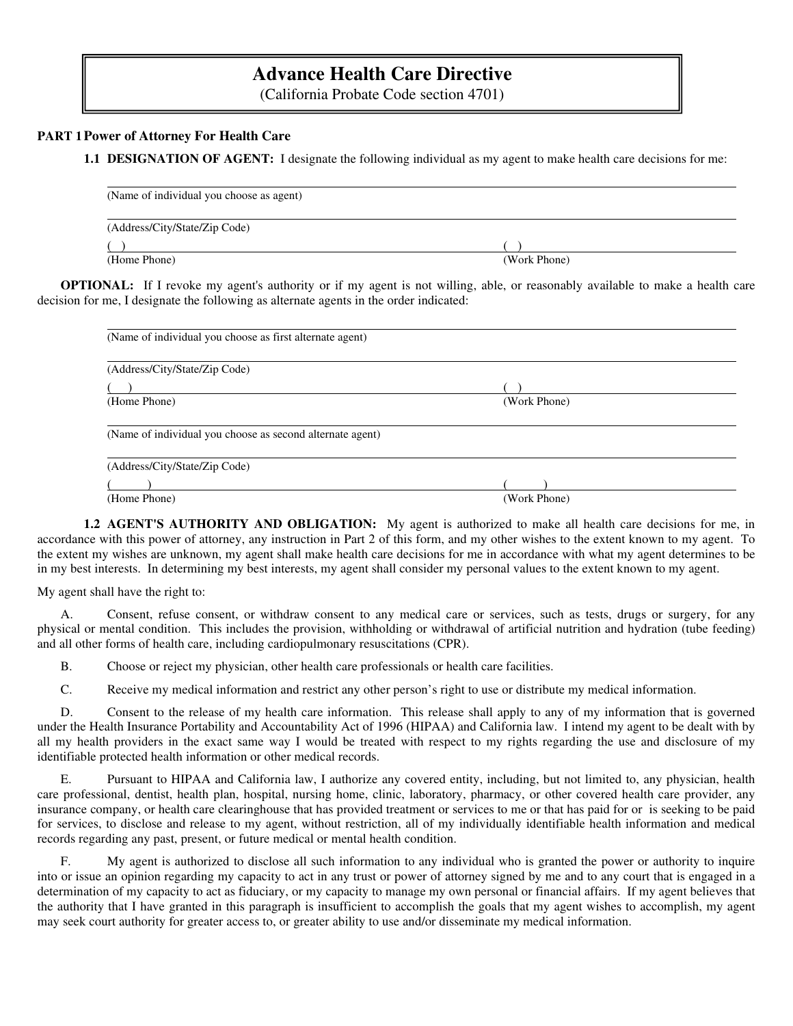# **Advance Health Care Directive**

(California Probate Code section 4701)

### **PART 1 Power of Attorney For Health Care**

**1.1 DESIGNATION OF AGENT:** I designate the following individual as my agent to make health care decisions for me:

| (Name of individual you choose as agent) |              |
|------------------------------------------|--------------|
| (Address/City/State/Zip Code)            |              |
|                                          |              |
| (Home Phone)                             | (Work Phone) |

**OPTIONAL:** If I revoke my agent's authority or if my agent is not willing, able, or reasonably available to make a health care decision for me, I designate the following as alternate agents in the order indicated:

| (Name of individual you choose as first alternate agent)  |              |
|-----------------------------------------------------------|--------------|
| (Address/City/State/Zip Code)                             |              |
|                                                           |              |
| (Home Phone)                                              | (Work Phone) |
|                                                           |              |
| (Name of individual you choose as second alternate agent) |              |
|                                                           |              |
| (Address/City/State/Zip Code)                             |              |
|                                                           |              |
| (Home Phone)                                              | (Work Phone) |

**1.2 AGENT'S AUTHORITY AND OBLIGATION:** My agent is authorized to make all health care decisions for me, in accordance with this power of attorney, any instruction in Part 2 of this form, and my other wishes to the extent known to my agent. To the extent my wishes are unknown, my agent shall make health care decisions for me in accordance with what my agent determines to be in my best interests. In determining my best interests, my agent shall consider my personal values to the extent known to my agent.

My agent shall have the right to:

 A. Consent, refuse consent, or withdraw consent to any medical care or services, such as tests, drugs or surgery, for any physical or mental condition. This includes the provision, withholding or withdrawal of artificial nutrition and hydration (tube feeding) and all other forms of health care, including cardiopulmonary resuscitations (CPR).

B. Choose or reject my physician, other health care professionals or health care facilities.

C. Receive my medical information and restrict any other person's right to use or distribute my medical information.

 D. Consent to the release of my health care information. This release shall apply to any of my information that is governed under the Health Insurance Portability and Accountability Act of 1996 (HIPAA) and California law. I intend my agent to be dealt with by all my health providers in the exact same way I would be treated with respect to my rights regarding the use and disclosure of my identifiable protected health information or other medical records.

 E. Pursuant to HIPAA and California law, I authorize any covered entity, including, but not limited to, any physician, health care professional, dentist, health plan, hospital, nursing home, clinic, laboratory, pharmacy, or other covered health care provider, any insurance company, or health care clearinghouse that has provided treatment or services to me or that has paid for or is seeking to be paid for services, to disclose and release to my agent, without restriction, all of my individually identifiable health information and medical records regarding any past, present, or future medical or mental health condition.

 F. My agent is authorized to disclose all such information to any individual who is granted the power or authority to inquire into or issue an opinion regarding my capacity to act in any trust or power of attorney signed by me and to any court that is engaged in a determination of my capacity to act as fiduciary, or my capacity to manage my own personal or financial affairs. If my agent believes that the authority that I have granted in this paragraph is insufficient to accomplish the goals that my agent wishes to accomplish, my agent may seek court authority for greater access to, or greater ability to use and/or disseminate my medical information.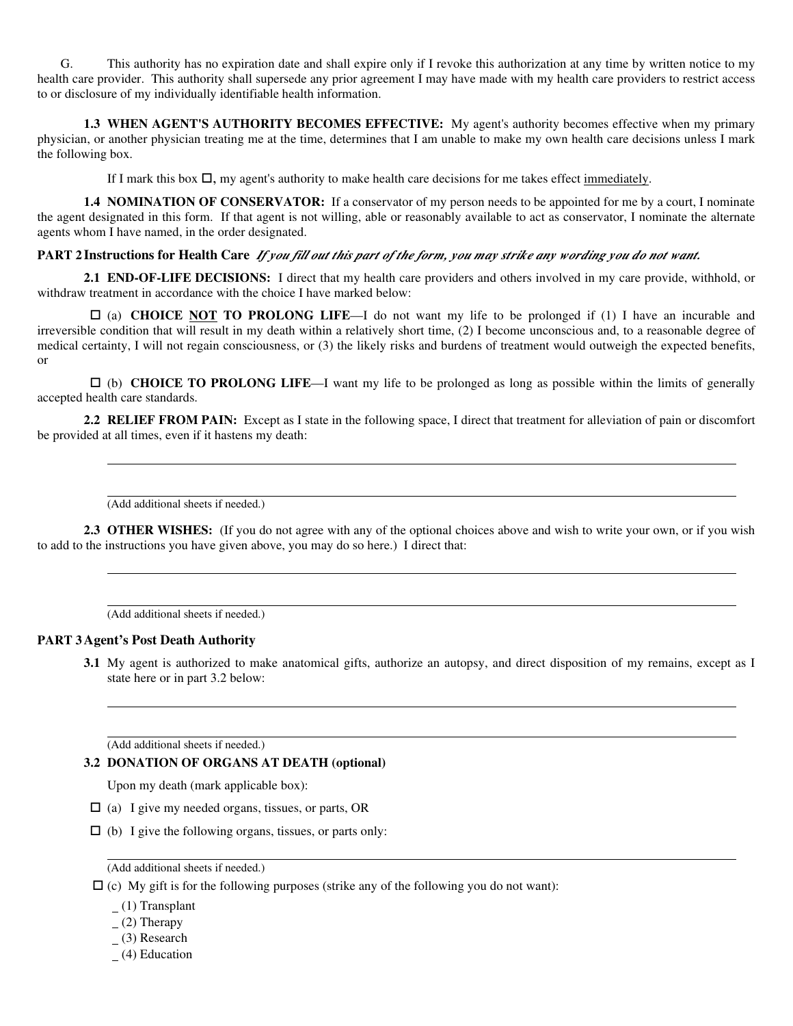G. This authority has no expiration date and shall expire only if I revoke this authorization at any time by written notice to my health care provider. This authority shall supersede any prior agreement I may have made with my health care providers to restrict access to or disclosure of my individually identifiable health information.

**1.3 WHEN AGENT'S AUTHORITY BECOMES EFFECTIVE:** My agent's authority becomes effective when my primary physician, or another physician treating me at the time, determines that I am unable to make my own health care decisions unless I mark the following box.

If I mark this box  $\Box$ , my agent's authority to make health care decisions for me takes effect <u>immediately</u>.

**1.4 NOMINATION OF CONSERVATOR:** If a conservator of my person needs to be appointed for me by a court, I nominate the agent designated in this form. If that agent is not willing, able or reasonably available to act as conservator, I nominate the alternate agents whom I have named, in the order designated.

### **PART 2 Instructions for Health Care** *If you fill out this part of the form, you may strike any wording you do not want.*

**2.1 END-OF-LIFE DECISIONS:** I direct that my health care providers and others involved in my care provide, withhold, or withdraw treatment in accordance with the choice I have marked below:

 (a) **CHOICE NOT TO PROLONG LIFE**—I do not want my life to be prolonged if (1) I have an incurable and irreversible condition that will result in my death within a relatively short time, (2) I become unconscious and, to a reasonable degree of medical certainty, I will not regain consciousness, or (3) the likely risks and burdens of treatment would outweigh the expected benefits, or

 (b) **CHOICE TO PROLONG LIFE**—I want my life to be prolonged as long as possible within the limits of generally accepted health care standards.

**2.2 RELIEF FROM PAIN:** Except as I state in the following space, I direct that treatment for alleviation of pain or discomfort be provided at all times, even if it hastens my death:

(Add additional sheets if needed.)

**2.3 OTHER WISHES:** (If you do not agree with any of the optional choices above and wish to write your own, or if you wish to add to the instructions you have given above, you may do so here.) I direct that:

(Add additional sheets if needed.)

### **PART 3 Agent's Post Death Authority**

**3.1** My agent is authorized to make anatomical gifts, authorize an autopsy, and direct disposition of my remains, except as I state here or in part 3.2 below:

(Add additional sheets if needed.)

### **3.2 DONATION OF ORGANS AT DEATH (optional)**

Upon my death (mark applicable box):

- $\Box$  (a) I give my needed organs, tissues, or parts, OR
- $\Box$  (b) I give the following organs, tissues, or parts only:

(Add additional sheets if needed.)

- $\Box$  (c) My gift is for the following purposes (strike any of the following you do not want):
	- $(1)$  Transplant
	- $(2)$  Therapy
	- $(3)$  Research
	- (4) Education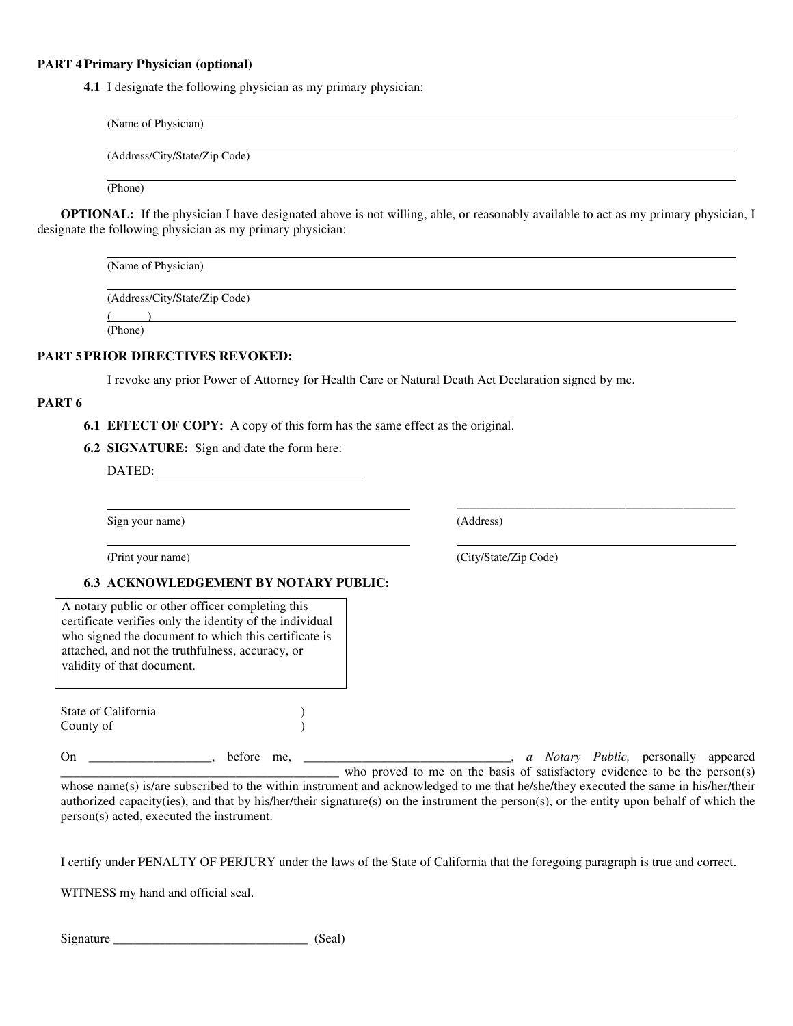### **PART 4 Primary Physician (optional)**

**4.1** I designate the following physician as my primary physician:

| (Name of Physician)           |  |  |
|-------------------------------|--|--|
| (Address/City/State/Zip Code) |  |  |
| (Phone)                       |  |  |

**OPTIONAL:** If the physician I have designated above is not willing, able, or reasonably available to act as my primary physician, I designate the following physician as my primary physician:

| (Name of Physician)           |  |
|-------------------------------|--|
| (Address/City/State/Zip Code) |  |
|                               |  |
| (Phone)                       |  |

## **PART 5 PRIOR DIRECTIVES REVOKED:**

I revoke any prior Power of Attorney for Health Care or Natural Death Act Declaration signed by me.

### **PART 6**

**6.1 EFFECT OF COPY:** A copy of this form has the same effect as the original.

**6.2 SIGNATURE:** Sign and date the form here:

DATED:

Sign your name) (Address)

#### **6.3 ACKNOWLEDGEMENT BY NOTARY PUBLIC:**

A notary public or other officer completing this certificate verifies only the identity of the individual who signed the document to which this certificate is attached, and not the truthfulness, accuracy, or validity of that document.

State of California ) County of )

On \_\_\_\_\_\_\_\_\_\_\_\_\_\_\_\_\_\_\_, before me, \_\_\_\_\_\_\_\_\_\_\_\_\_\_\_\_\_\_\_\_\_\_\_\_\_\_\_\_\_\_\_\_, *a Notary Public,* personally appeared who proved to me on the basis of satisfactory evidence to be the person(s) whose name(s) is/are subscribed to the within instrument and acknowledged to me that he/she/they executed the same in his/her/their

authorized capacity(ies), and that by his/her/their signature(s) on the instrument the person(s), or the entity upon behalf of which the person(s) acted, executed the instrument.

I certify under PENALTY OF PERJURY under the laws of the State of California that the foregoing paragraph is true and correct.

WITNESS my hand and official seal.

| Signature |  |
|-----------|--|
|-----------|--|

(Print your name) (City/State/Zip Code)

 $\frac{1}{2}$  , the contract of the contract of the contract of the contract of the contract of the contract of the contract of the contract of the contract of the contract of the contract of the contract of the contract of t